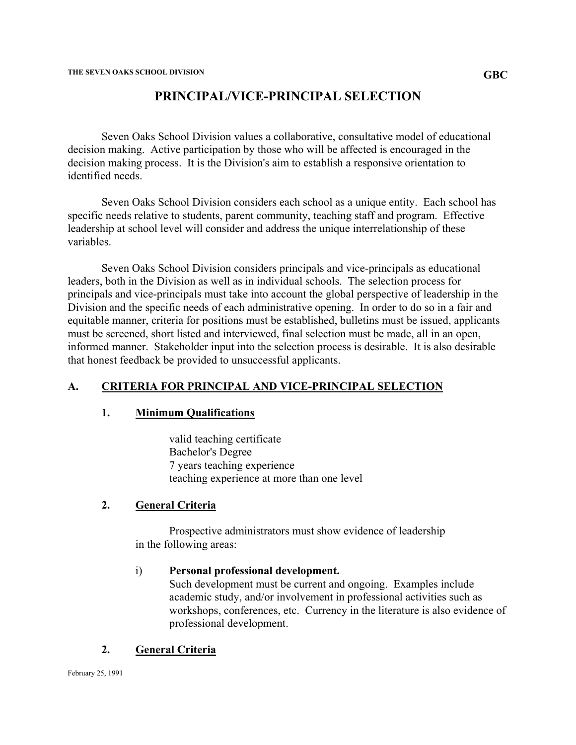# **PRINCIPAL/VICE-PRINCIPAL SELECTION**

Seven Oaks School Division values a collaborative, consultative model of educational decision making. Active participation by those who will be affected is encouraged in the decision making process. It is the Division's aim to establish a responsive orientation to identified needs.

Seven Oaks School Division considers each school as a unique entity. Each school has specific needs relative to students, parent community, teaching staff and program. Effective leadership at school level will consider and address the unique interrelationship of these variables.

Seven Oaks School Division considers principals and vice-principals as educational leaders, both in the Division as well as in individual schools. The selection process for principals and vice-principals must take into account the global perspective of leadership in the Division and the specific needs of each administrative opening. In order to do so in a fair and equitable manner, criteria for positions must be established, bulletins must be issued, applicants must be screened, short listed and interviewed, final selection must be made, all in an open, informed manner. Stakeholder input into the selection process is desirable. It is also desirable that honest feedback be provided to unsuccessful applicants.

### **A. CRITERIA FOR PRINCIPAL AND VICE-PRINCIPAL SELECTION**

#### **1. Minimum Qualifications**

valid teaching certificate Bachelor's Degree 7 years teaching experience teaching experience at more than one level

### **2. General Criteria**

 Prospective administrators must show evidence of leadership in the following areas:

#### i) **Personal professional development.**

Such development must be current and ongoing. Examples include academic study, and/or involvement in professional activities such as workshops, conferences, etc. Currency in the literature is also evidence of professional development.

### **2. General Criteria**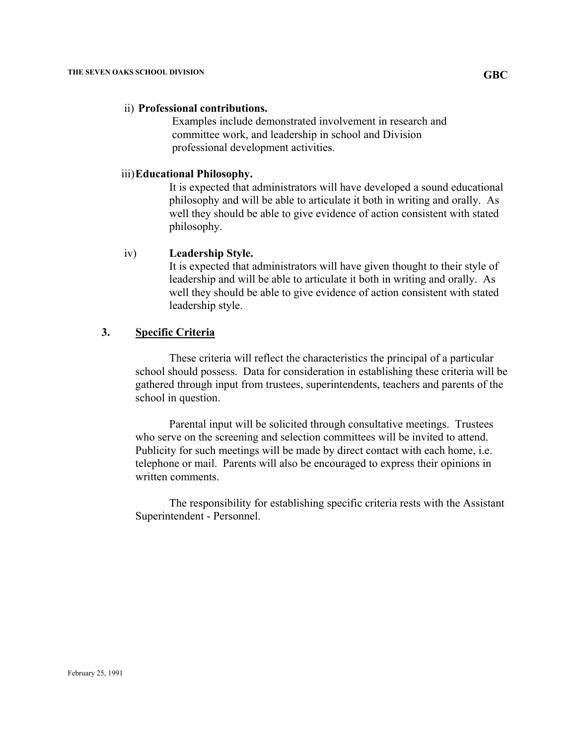#### ii) **Professional contributions.**

 Examples include demonstrated involvement in research and committee work, and leadership in school and Division professional development activities.

#### iii) **Educational Philosophy.**

It is expected that administrators will have developed a sound educational philosophy and will be able to articulate it both in writing and orally. As well they should be able to give evidence of action consistent with stated philosophy.

#### iv) **Leadership Style.**

It is expected that administrators will have given thought to their style of leadership and will be able to articulate it both in writing and orally. As well they should be able to give evidence of action consistent with stated leadership style.

## **3. Specific Criteria**

These criteria will reflect the characteristics the principal of a particular school should possess. Data for consideration in establishing these criteria will be gathered through input from trustees, superintendents, teachers and parents of the school in question.

Parental input will be solicited through consultative meetings. Trustees who serve on the screening and selection committees will be invited to attend. Publicity for such meetings will be made by direct contact with each home, i.e. telephone or mail. Parents will also be encouraged to express their opinions in written comments.

The responsibility for establishing specific criteria rests with the Assistant Superintendent - Personnel.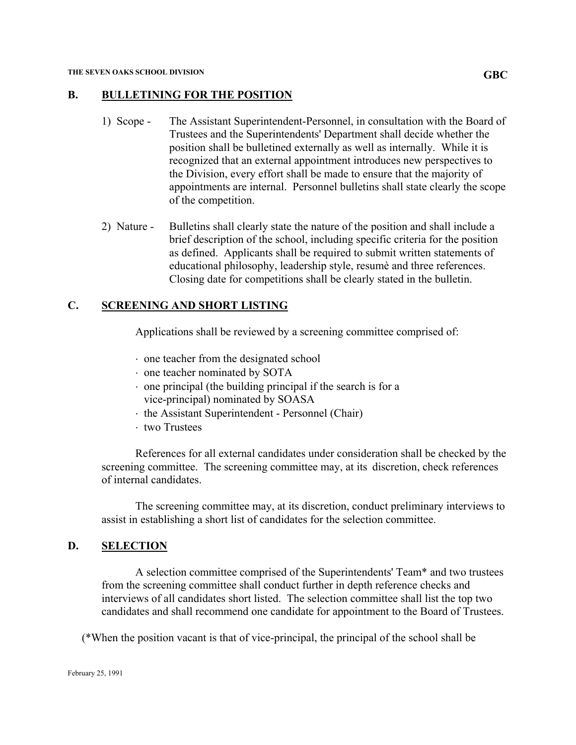### **B. BULLETINING FOR THE POSITION**

- 1) Scope The Assistant Superintendent-Personnel, in consultation with the Board of Trustees and the Superintendents' Department shall decide whether the position shall be bulletined externally as well as internally. While it is recognized that an external appointment introduces new perspectives to the Division, every effort shall be made to ensure that the majority of appointments are internal. Personnel bulletins shall state clearly the scope of the competition.
- 2) Nature Bulletins shall clearly state the nature of the position and shall include a brief description of the school, including specific criteria for the position as defined. Applicants shall be required to submit written statements of educational philosophy, leadership style, resumè and three references. Closing date for competitions shall be clearly stated in the bulletin.

# **C. SCREENING AND SHORT LISTING**

Applications shall be reviewed by a screening committee comprised of:

- ⋅ one teacher from the designated school
- ⋅ one teacher nominated by SOTA
- $\cdot$  one principal (the building principal if the search is for a vice-principal) nominated by SOASA
- ⋅ the Assistant Superintendent Personnel (Chair)
- ⋅ two Trustees

References for all external candidates under consideration shall be checked by the screening committee. The screening committee may, at its discretion, check references of internal candidates.

The screening committee may, at its discretion, conduct preliminary interviews to assist in establishing a short list of candidates for the selection committee.

### **D. SELECTION**

A selection committee comprised of the Superintendents' Team\* and two trustees from the screening committee shall conduct further in depth reference checks and interviews of all candidates short listed. The selection committee shall list the top two candidates and shall recommend one candidate for appointment to the Board of Trustees.

(\*When the position vacant is that of vice-principal, the principal of the school shall be